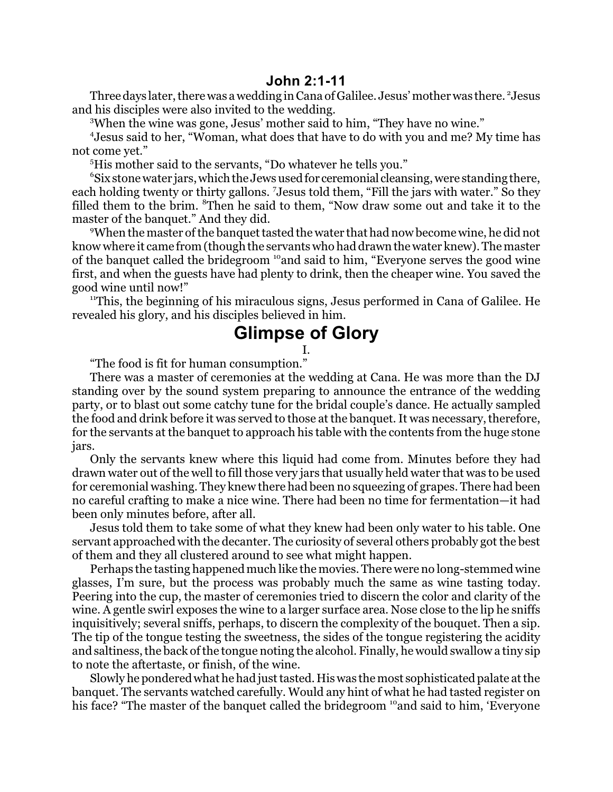Three days later, there was a wedding in Cana of Galilee. Jesus' mother was there. <sup>2</sup> Jesus and his disciples were also invited to the wedding.

<sup>3</sup>When the wine was gone, Jesus' mother said to him, "They have no wine."

4 Jesus said to her, "Woman, what does that have to do with you and me? My time has not come yet."

<sup>5</sup>His mother said to the servants, "Do whatever he tells you."

6 Six stone water jars, which the Jews used for ceremonial cleansing, were standing there, each holding twenty or thirty gallons. <sup>7</sup>Jesus told them, "Fill the jars with water." So they filled them to the brim. <sup>8</sup>Then he said to them, "Now draw some out and take it to the master of the banquet." And they did.

<sup>9</sup>When the master of the banquet tasted the water that had now become wine, he did not know where it came from (though the servants who had drawn the water knew). The master of the banquet called the bridegroom <sup>10</sup>and said to him, "Everyone serves the good wine first, and when the guests have had plenty to drink, then the cheaper wine. You saved the good wine until now!"

<sup>11</sup>This, the beginning of his miraculous signs, Jesus performed in Cana of Galilee. He revealed his glory, and his disciples believed in him.

## **Glimpse of Glory**

I.

"The food is fit for human consumption."

There was a master of ceremonies at the wedding at Cana. He was more than the DJ standing over by the sound system preparing to announce the entrance of the wedding party, or to blast out some catchy tune for the bridal couple's dance. He actually sampled the food and drink before it was served to those at the banquet. It was necessary, therefore, for the servants at the banquet to approach his table with the contents from the huge stone jars.

Only the servants knew where this liquid had come from. Minutes before they had drawn water out of the well to fill those very jars that usually held water that was to be used for ceremonial washing. They knew there had been no squeezing of grapes. There had been no careful crafting to make a nice wine. There had been no time for fermentation—it had been only minutes before, after all.

Jesus told them to take some of what they knew had been only water to his table. One servant approached with the decanter. The curiosity of several others probably got the best of them and they all clustered around to see what might happen.

Perhaps the tasting happened much like the movies. There were no long-stemmed wine glasses, I'm sure, but the process was probably much the same as wine tasting today. Peering into the cup, the master of ceremonies tried to discern the color and clarity of the wine. A gentle swirl exposes the wine to a larger surface area. Nose close to the lip he sniffs inquisitively; several sniffs, perhaps, to discern the complexity of the bouquet. Then a sip. The tip of the tongue testing the sweetness, the sides of the tongue registering the acidity and saltiness, the back of the tongue noting the alcohol. Finally, he would swallow a tiny sip to note the aftertaste, or finish, of the wine.

Slowly he pondered what he had just tasted. His was the most sophisticated palate at the banquet. The servants watched carefully. Would any hint of what he had tasted register on his face? "The master of the banquet called the bridegroom <sup>10</sup> and said to him, 'Everyone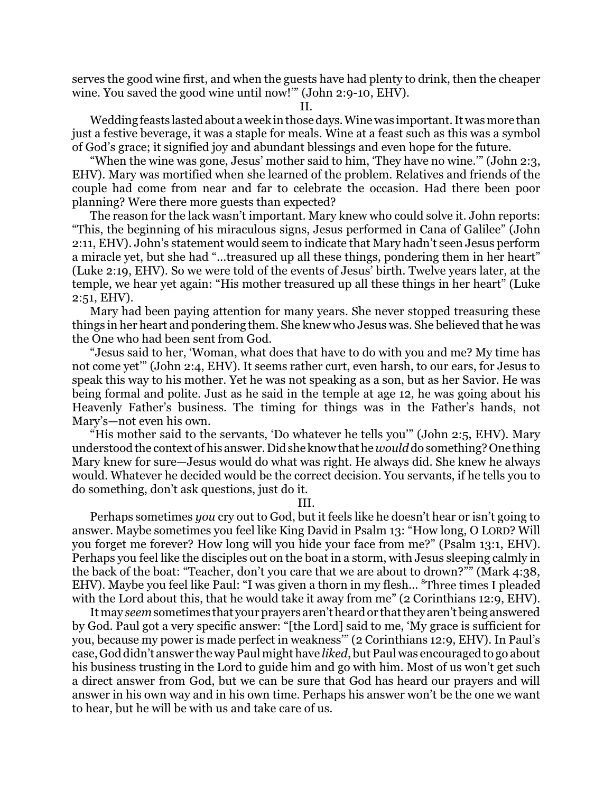serves the good wine first, and when the guests have had plenty to drink, then the cheaper wine. You saved the good wine until now!'" (John 2:9-10, EHV).

II.

Wedding feasts lasted about a week in those days. Wine was important. Itwas more than just a festive beverage, it was a staple for meals. Wine at a feast such as this was a symbol of God's grace; it signified joy and abundant blessings and even hope for the future.

"When the wine was gone, Jesus' mother said to him, 'They have no wine.'" (John 2:3, EHV). Mary was mortified when she learned of the problem. Relatives and friends of the couple had come from near and far to celebrate the occasion. Had there been poor planning? Were there more guests than expected?

The reason for the lack wasn't important. Mary knew who could solve it. John reports: "This, the beginning of his miraculous signs, Jesus performed in Cana of Galilee" (John 2:11, EHV). John's statement would seem to indicate that Mary hadn't seen Jesus perform a miracle yet, but she had "...treasured up all these things, pondering them in her heart" (Luke 2:19, EHV). So we were told of the events of Jesus' birth. Twelve years later, at the temple, we hear yet again: "His mother treasured up all these things in her heart" (Luke 2:51, EHV).

Mary had been paying attention for many years. She never stopped treasuring these things in her heart and pondering them. She knew who Jesus was. She believed that he was the One who had been sent from God.

"Jesus said to her, 'Woman, what does that have to do with you and me? My time has not come yet'" (John 2:4, EHV). It seems rather curt, even harsh, to our ears, for Jesus to speak this way to his mother. Yet he was not speaking as a son, but as her Savior. He was being formal and polite. Just as he said in the temple at age 12, he was going about his Heavenly Father's business. The timing for things was in the Father's hands, not Mary's—not even his own.

"His mother said to the servants, 'Do whatever he tells you'" (John 2:5, EHV). Mary understood the context of his answer. Did she know thathe *would* do something? One thing Mary knew for sure—Jesus would do what was right. He always did. She knew he always would. Whatever he decided would be the correct decision. You servants, if he tells you to do something, don't ask questions, just do it.

III.

Perhaps sometimes *you* cry out to God, but it feels like he doesn't hear or isn't going to answer. Maybe sometimes you feel like King David in Psalm 13: "How long, O LORD? Will you forget me forever? How long will you hide your face from me?" (Psalm 13:1, EHV). Perhaps you feel like the disciples out on the boat in a storm, with Jesus sleeping calmly in the back of the boat: "Teacher, don't you care that we are about to drown?"" (Mark 4:38, EHV). Maybe you feel like Paul: "I was given a thorn in my flesh... <sup>8</sup>Three times I pleaded with the Lord about this, that he would take it away from me" (2 Corinthians 12:9, EHV).

Itmay *seem*sometimes that your prayers aren'theard or thatthey aren't being answered by God. Paul got a very specific answer: "[the Lord] said to me, 'My grace is sufficient for you, because my power is made perfect in weakness'" (2 Corinthians 12:9, EHV). In Paul's case, God didn't answer the way Paul mighthave *liked*, but Paul was encouraged to go about his business trusting in the Lord to guide him and go with him. Most of us won't get such a direct answer from God, but we can be sure that God has heard our prayers and will answer in his own way and in his own time. Perhaps his answer won't be the one we want to hear, but he will be with us and take care of us.